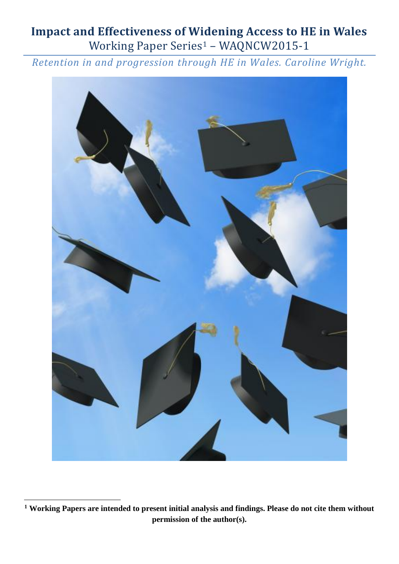# **Impact and Effectiveness of Widening Access to HE in Wales** Working Paper Series<sup>1</sup> - WAQNCW2015-1

*Retention in and progression through HE in Wales. Caroline Wright.*



1

**<sup>1</sup> Working Papers are intended to present initial analysis and findings. Please do not cite them without permission of the author(s).**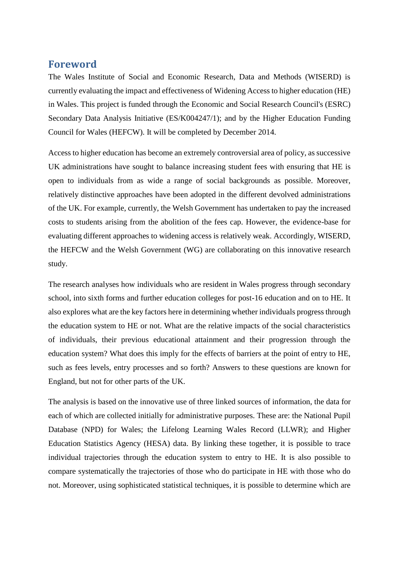# **Foreword**

The Wales Institute of Social and Economic Research, Data and Methods (WISERD) is currently evaluating the impact and effectiveness of Widening Access to higher education (HE) in Wales. This project is funded through the Economic and Social Research Council's (ESRC) Secondary Data Analysis Initiative (ES/K004247/1); and by the Higher Education Funding Council for Wales (HEFCW). It will be completed by December 2014.

Access to higher education has become an extremely controversial area of policy, as successive UK administrations have sought to balance increasing student fees with ensuring that HE is open to individuals from as wide a range of social backgrounds as possible. Moreover, relatively distinctive approaches have been adopted in the different devolved administrations of the UK. For example, currently, the Welsh Government has undertaken to pay the increased costs to students arising from the abolition of the fees cap. However, the evidence-base for evaluating different approaches to widening access is relatively weak. Accordingly, WISERD, the HEFCW and the Welsh Government (WG) are collaborating on this innovative research study.

The research analyses how individuals who are resident in Wales progress through secondary school, into sixth forms and further education colleges for post-16 education and on to HE. It also explores what are the key factors here in determining whether individuals progress through the education system to HE or not. What are the relative impacts of the social characteristics of individuals, their previous educational attainment and their progression through the education system? What does this imply for the effects of barriers at the point of entry to HE, such as fees levels, entry processes and so forth? Answers to these questions are known for England, but not for other parts of the UK.

The analysis is based on the innovative use of three linked sources of information, the data for each of which are collected initially for administrative purposes. These are: the National Pupil Database (NPD) for Wales; the Lifelong Learning Wales Record (LLWR); and Higher Education Statistics Agency (HESA) data. By linking these together, it is possible to trace individual trajectories through the education system to entry to HE. It is also possible to compare systematically the trajectories of those who do participate in HE with those who do not. Moreover, using sophisticated statistical techniques, it is possible to determine which are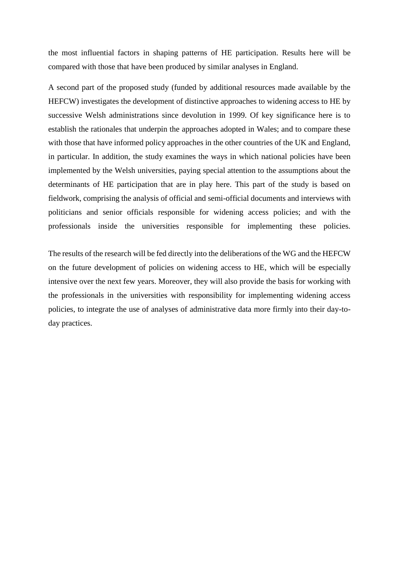the most influential factors in shaping patterns of HE participation. Results here will be compared with those that have been produced by similar analyses in England.

A second part of the proposed study (funded by additional resources made available by the HEFCW) investigates the development of distinctive approaches to widening access to HE by successive Welsh administrations since devolution in 1999. Of key significance here is to establish the rationales that underpin the approaches adopted in Wales; and to compare these with those that have informed policy approaches in the other countries of the UK and England, in particular. In addition, the study examines the ways in which national policies have been implemented by the Welsh universities, paying special attention to the assumptions about the determinants of HE participation that are in play here. This part of the study is based on fieldwork, comprising the analysis of official and semi-official documents and interviews with politicians and senior officials responsible for widening access policies; and with the professionals inside the universities responsible for implementing these policies.

The results of the research will be fed directly into the deliberations of the WG and the HEFCW on the future development of policies on widening access to HE, which will be especially intensive over the next few years. Moreover, they will also provide the basis for working with the professionals in the universities with responsibility for implementing widening access policies, to integrate the use of analyses of administrative data more firmly into their day-today practices.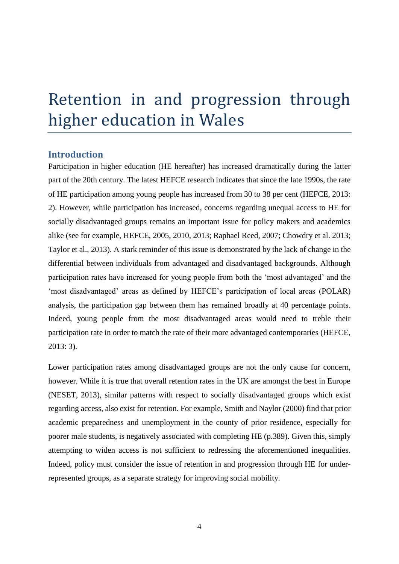# Retention in and progression through higher education in Wales

#### **Introduction**

Participation in higher education (HE hereafter) has increased dramatically during the latter part of the 20th century. The latest HEFCE research indicates that since the late 1990s, the rate of HE participation among young people has increased from 30 to 38 per cent (HEFCE, 2013: 2). However, while participation has increased, concerns regarding unequal access to HE for socially disadvantaged groups remains an important issue for policy makers and academics alike (see for example, HEFCE, 2005, 2010, 2013; Raphael Reed, 2007; Chowdry et al. 2013; Taylor et al., 2013). A stark reminder of this issue is demonstrated by the lack of change in the differential between individuals from advantaged and disadvantaged backgrounds. Although participation rates have increased for young people from both the 'most advantaged' and the 'most disadvantaged' areas as defined by HEFCE's participation of local areas (POLAR) analysis, the participation gap between them has remained broadly at 40 percentage points. Indeed, young people from the most disadvantaged areas would need to treble their participation rate in order to match the rate of their more advantaged contemporaries (HEFCE, 2013: 3).

Lower participation rates among disadvantaged groups are not the only cause for concern, however. While it is true that overall retention rates in the UK are amongst the best in Europe (NESET, 2013), similar patterns with respect to socially disadvantaged groups which exist regarding access, also exist for retention. For example, Smith and Naylor (2000) find that prior academic preparedness and unemployment in the county of prior residence, especially for poorer male students, is negatively associated with completing HE (p.389). Given this, simply attempting to widen access is not sufficient to redressing the aforementioned inequalities. Indeed, policy must consider the issue of retention in and progression through HE for underrepresented groups, as a separate strategy for improving social mobility.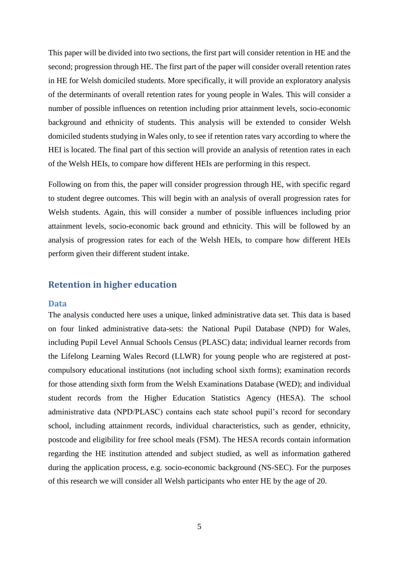This paper will be divided into two sections, the first part will consider retention in HE and the second; progression through HE. The first part of the paper will consider overall retention rates in HE for Welsh domiciled students. More specifically, it will provide an exploratory analysis of the determinants of overall retention rates for young people in Wales. This will consider a number of possible influences on retention including prior attainment levels, socio-economic background and ethnicity of students. This analysis will be extended to consider Welsh domiciled students studying in Wales only, to see if retention rates vary according to where the HEI is located. The final part of this section will provide an analysis of retention rates in each of the Welsh HEIs, to compare how different HEIs are performing in this respect.

Following on from this, the paper will consider progression through HE, with specific regard to student degree outcomes. This will begin with an analysis of overall progression rates for Welsh students. Again, this will consider a number of possible influences including prior attainment levels, socio-economic back ground and ethnicity. This will be followed by an analysis of progression rates for each of the Welsh HEIs, to compare how different HEIs perform given their different student intake.

# **Retention in higher education**

#### **Data**

The analysis conducted here uses a unique, linked administrative data set. This data is based on four linked administrative data-sets: the National Pupil Database (NPD) for Wales, including Pupil Level Annual Schools Census (PLASC) data; individual learner records from the Lifelong Learning Wales Record (LLWR) for young people who are registered at postcompulsory educational institutions (not including school sixth forms); examination records for those attending sixth form from the Welsh Examinations Database (WED); and individual student records from the Higher Education Statistics Agency (HESA). The school administrative data (NPD/PLASC) contains each state school pupil's record for secondary school, including attainment records, individual characteristics, such as gender, ethnicity, postcode and eligibility for free school meals (FSM). The HESA records contain information regarding the HE institution attended and subject studied, as well as information gathered during the application process, e.g. socio-economic background (NS-SEC). For the purposes of this research we will consider all Welsh participants who enter HE by the age of 20.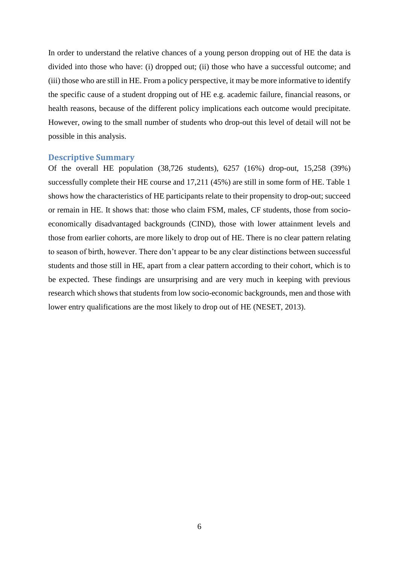In order to understand the relative chances of a young person dropping out of HE the data is divided into those who have: (i) dropped out; (ii) those who have a successful outcome; and (iii) those who are still in HE. From a policy perspective, it may be more informative to identify the specific cause of a student dropping out of HE e.g. academic failure, financial reasons, or health reasons, because of the different policy implications each outcome would precipitate. However, owing to the small number of students who drop-out this level of detail will not be possible in this analysis.

#### **Descriptive Summary**

Of the overall HE population (38,726 students), 6257 (16%) drop-out, 15,258 (39%) successfully complete their HE course and 17,211 (45%) are still in some form of HE. [Table 1](#page-6-0) shows how the characteristics of HE participants relate to their propensity to drop-out; succeed or remain in HE. It shows that: those who claim FSM, males, CF students, those from socioeconomically disadvantaged backgrounds (CIND), those with lower attainment levels and those from earlier cohorts, are more likely to drop out of HE. There is no clear pattern relating to season of birth, however. There don't appear to be any clear distinctions between successful students and those still in HE, apart from a clear pattern according to their cohort, which is to be expected. These findings are unsurprising and are very much in keeping with previous research which shows that students from low socio-economic backgrounds, men and those with lower entry qualifications are the most likely to drop out of HE (NESET, 2013).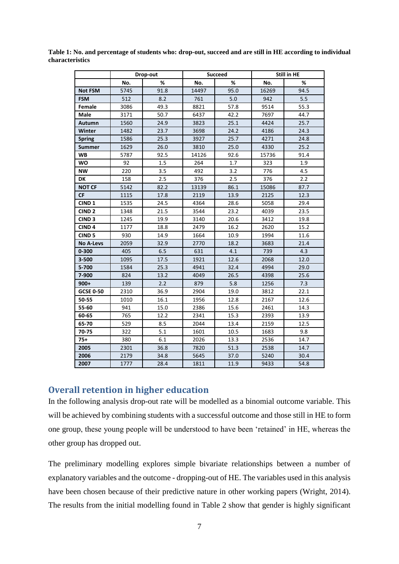|                   |      | Drop-out |            | <b>Succeed</b> |       | Still in HE |
|-------------------|------|----------|------------|----------------|-------|-------------|
|                   | No.  | %        | No.        | %              | No.   | ℅           |
| <b>Not FSM</b>    | 5745 | 91.8     | 14497      | 95.0           | 16269 | 94.5        |
| <b>FSM</b>        | 512  | 8.2      | 761<br>5.0 |                | 942   | 5.5         |
| Female            | 3086 | 49.3     | 8821       | 57.8           | 9514  | 55.3        |
| Male              | 3171 | 50.7     | 6437       | 42.2           | 7697  | 44.7        |
| Autumn            | 1560 | 24.9     | 3823       | 25.1           | 4424  | 25.7        |
| Winter            | 1482 | 23.7     | 3698       | 24.2           | 4186  | 24.3        |
| <b>Spring</b>     | 1586 | 25.3     | 3927       | 25.7           | 4271  | 24.8        |
| <b>Summer</b>     | 1629 | 26.0     | 3810       | 25.0           | 4330  | 25.2        |
| <b>WB</b>         | 5787 | 92.5     | 14126      | 92.6           | 15736 | 91.4        |
| WO                | 92   | 1.5      | 264        | 1.7            | 323   | 1.9         |
| NW                | 220  | 3.5      | 492        | 3.2            | 776   | 4.5         |
| DK                | 158  | 2.5      | 376        | 2.5            | 376   | 2.2         |
| <b>NOT CF</b>     | 5142 | 82.2     | 13139      | 86.1           | 15086 | 87.7        |
| <b>CF</b>         | 1115 | 17.8     | 2119       | 13.9           | 2125  | 12.3        |
| CIND <sub>1</sub> | 1535 | 24.5     | 4364       | 28.6           | 5058  | 29.4        |
| CIND <sub>2</sub> | 1348 | 21.5     | 3544       | 23.2           | 4039  | 23.5        |
| CIND <sub>3</sub> | 1245 | 19.9     | 3140       | 20.6           | 3412  | 19.8        |
| CIND <sub>4</sub> | 1177 | 18.8     | 2479       | 16.2           | 2620  | 15.2        |
| CIND <sub>5</sub> | 930  | 14.9     | 1664       | 10.9           | 1994  | 11.6        |
| <b>No A-Levs</b>  | 2059 | 32.9     | 2770       | 18.2           | 3683  | 21.4        |
| $0 - 300$         | 405  | 6.5      | 631        | 4.1            | 739   | 4.3         |
| 3-500             | 1095 | 17.5     | 1921       | 12.6           | 2068  | 12.0        |
| 5-700             | 1584 | 25.3     | 4941       | 32.4           | 4994  | 29.0        |
| 7-900             | 824  | 13.2     | 4049       | 26.5           | 4398  | 25.6        |
| $900+$            | 139  | 2.2      | 879        | 5.8            | 1256  | 7.3         |
| <b>GCSE 0-50</b>  | 2310 | 36.9     | 2904       | 19.0           | 3812  | 22.1        |
| 50-55             | 1010 | 16.1     | 1956       | 12.8           | 2167  | 12.6        |
| 55-60             | 941  | 15.0     | 2386       | 15.6           | 2461  | 14.3        |
| 60-65             | 765  | 12.2     | 2341       | 15.3           | 2393  | 13.9        |
| 65-70             | 529  | 8.5      | 2044       | 13.4           | 2159  | 12.5        |
| 70-75             | 322  | 5.1      | 1601       | 10.5           | 1683  | 9.8         |
| $75+$             | 380  | 6.1      | 2026       | 13.3           | 2536  | 14.7        |
| 2005              | 2301 | 36.8     | 7820       | 51.3           | 2538  | 14.7        |
| 2006              | 2179 | 34.8     | 5645       | 37.0           | 5240  | 30.4        |
| 2007              | 1777 | 28.4     | 1811       | 11.9           | 9433  | 54.8        |

<span id="page-6-0"></span>**Table 1: No. and percentage of students who: drop-out, succeed and are still in HE according to individual characteristics**

# **Overall retention in higher education**

In the following analysis drop-out rate will be modelled as a binomial outcome variable. This will be achieved by combining students with a successful outcome and those still in HE to form one group, these young people will be understood to have been 'retained' in HE, whereas the other group has dropped out.

The preliminary modelling explores simple bivariate relationships between a number of explanatory variables and the outcome - dropping-out of HE. The variables used in this analysis have been chosen because of their predictive nature in other working papers (Wright, 2014). The results from the initial modelling found in [Table 2](#page-8-0) show that gender is highly significant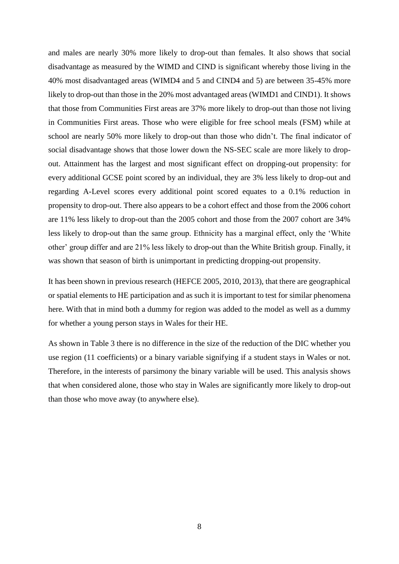and males are nearly 30% more likely to drop-out than females. It also shows that social disadvantage as measured by the WIMD and CIND is significant whereby those living in the 40% most disadvantaged areas (WIMD4 and 5 and CIND4 and 5) are between 35-45% more likely to drop-out than those in the 20% most advantaged areas (WIMD1 and CIND1). It shows that those from Communities First areas are 37% more likely to drop-out than those not living in Communities First areas. Those who were eligible for free school meals (FSM) while at school are nearly 50% more likely to drop-out than those who didn't. The final indicator of social disadvantage shows that those lower down the NS-SEC scale are more likely to dropout. Attainment has the largest and most significant effect on dropping-out propensity: for every additional GCSE point scored by an individual, they are 3% less likely to drop-out and regarding A-Level scores every additional point scored equates to a 0.1% reduction in propensity to drop-out. There also appears to be a cohort effect and those from the 2006 cohort are 11% less likely to drop-out than the 2005 cohort and those from the 2007 cohort are 34% less likely to drop-out than the same group. Ethnicity has a marginal effect, only the 'White other' group differ and are 21% less likely to drop-out than the White British group. Finally, it was shown that season of birth is unimportant in predicting dropping-out propensity.

It has been shown in previous research (HEFCE 2005, 2010, 2013), that there are geographical or spatial elements to HE participation and as such it is important to test for similar phenomena here. With that in mind both a dummy for region was added to the model as well as a dummy for whether a young person stays in Wales for their HE.

As shown in [Table 3](#page-9-0) there is no difference in the size of the reduction of the DIC whether you use region (11 coefficients) or a binary variable signifying if a student stays in Wales or not. Therefore, in the interests of parsimony the binary variable will be used. This analysis shows that when considered alone, those who stay in Wales are significantly more likely to drop-out than those who move away (to anywhere else).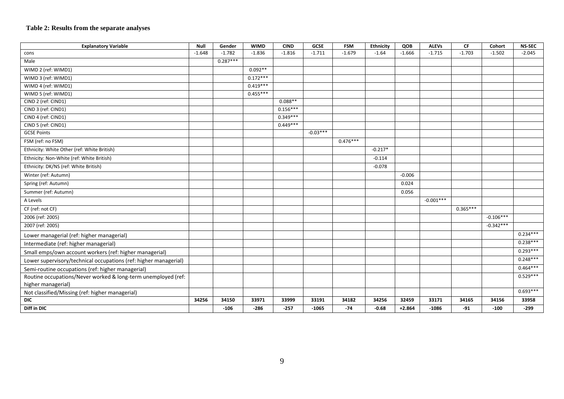#### **Table 2: Results from the separate analyses**

<span id="page-8-0"></span>

| <b>Explanatory Variable</b>                                      | Null     | Gender     | <b>WIMD</b> | <b>CIND</b> | <b>GCSE</b> | <b>FSM</b> | <b>Ethnicity</b> | QOB      | <b>ALEVs</b> | CF         | Cohort      | <b>NS-SEC</b> |
|------------------------------------------------------------------|----------|------------|-------------|-------------|-------------|------------|------------------|----------|--------------|------------|-------------|---------------|
| cons                                                             | $-1.648$ | $-1.782$   | $-1.836$    | $-1.816$    | $-1.711$    | $-1.679$   | $-1.64$          | $-1.666$ | $-1.715$     | $-1.703$   | $-1.502$    | $-2.045$      |
| Male                                                             |          | $0.287***$ |             |             |             |            |                  |          |              |            |             |               |
| WIMD 2 (ref: WIMD1)                                              |          |            | $0.092**$   |             |             |            |                  |          |              |            |             |               |
| WIMD 3 (ref: WIMD1)                                              |          |            | $0.172***$  |             |             |            |                  |          |              |            |             |               |
| WIMD 4 (ref: WIMD1)                                              |          |            | $0.419***$  |             |             |            |                  |          |              |            |             |               |
| WIMD 5 (ref: WIMD1)                                              |          |            | $0.455***$  |             |             |            |                  |          |              |            |             |               |
| CIND 2 (ref: CIND1)                                              |          |            |             | $0.088**$   |             |            |                  |          |              |            |             |               |
| CIND 3 (ref: CIND1)                                              |          |            |             | $0.156***$  |             |            |                  |          |              |            |             |               |
| CIND 4 (ref: CIND1)                                              |          |            |             | $0.349***$  |             |            |                  |          |              |            |             |               |
| CIND 5 (ref: CIND1)                                              |          |            |             | $0.449***$  |             |            |                  |          |              |            |             |               |
| <b>GCSE Points</b>                                               |          |            |             |             | $-0.03***$  |            |                  |          |              |            |             |               |
| FSM (ref: no FSM)                                                |          |            |             |             |             | $0.476***$ |                  |          |              |            |             |               |
| Ethnicity: White Other (ref: White British)                      |          |            |             |             |             |            | $-0.217*$        |          |              |            |             |               |
| Ethnicity: Non-White (ref: White British)                        |          |            |             |             |             |            | $-0.114$         |          |              |            |             |               |
| Ethnicity: DK/NS (ref: White British)                            |          |            |             |             |             |            | $-0.078$         |          |              |            |             |               |
| Winter (ref: Autumn)                                             |          |            |             |             |             |            |                  | $-0.006$ |              |            |             |               |
| Spring (ref: Autumn)                                             |          |            |             |             |             |            |                  | 0.024    |              |            |             |               |
| Summer (ref: Autumn)                                             |          |            |             |             |             |            |                  | 0.056    |              |            |             |               |
| A Levels                                                         |          |            |             |             |             |            |                  |          | $-0.001***$  |            |             |               |
| CF (ref: not CF)                                                 |          |            |             |             |             |            |                  |          |              | $0.365***$ |             |               |
| 2006 (ref: 2005)                                                 |          |            |             |             |             |            |                  |          |              |            | $-0.106***$ |               |
| 2007 (ref: 2005)                                                 |          |            |             |             |             |            |                  |          |              |            | $-0.342***$ |               |
| Lower managerial (ref: higher managerial)                        |          |            |             |             |             |            |                  |          |              |            |             | $0.234***$    |
| Intermediate (ref: higher managerial)                            |          |            |             |             |             |            |                  |          |              |            |             | $0.238***$    |
| Small emps/own account workers (ref: higher managerial)          |          |            |             |             |             |            |                  |          |              |            |             | $0.293***$    |
| Lower supervisory/technical occupations (ref: higher managerial) |          |            |             |             |             |            |                  |          |              |            |             | $0.248***$    |
| Semi-routine occupations (ref: higher managerial)                |          |            |             |             |             |            |                  |          |              |            |             | $0.464***$    |
| Routine occupations/Never worked & long-term unemployed (ref:    |          |            |             |             |             |            |                  |          |              |            |             | $0.529***$    |
| higher managerial)                                               |          |            |             |             |             |            |                  |          |              |            |             |               |
| Not classified/Missing (ref: higher managerial)                  |          |            |             |             |             |            |                  |          |              |            |             | $0.693***$    |
| <b>DIC</b>                                                       | 34256    | 34150      | 33971       | 33999       | 33191       | 34182      | 34256            | 32459    | 33171        | 34165      | 34156       | 33958         |
| Diff in DIC                                                      |          | $-106$     | $-286$      | $-257$      | $-1065$     | $-74$      | $-0.68$          | $+2.864$ | $-1086$      | $-91$      | $-100$      | $-299$        |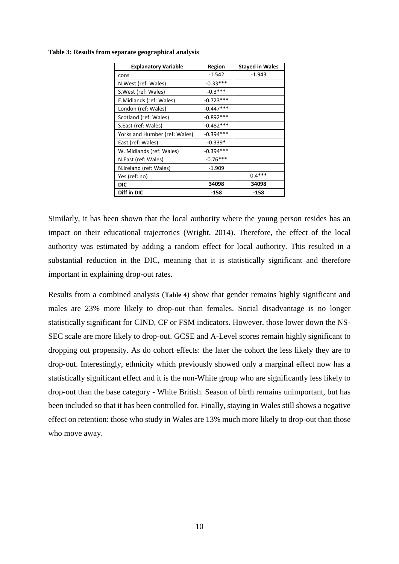| <b>Explanatory Variable</b>   | Region      | <b>Stayed in Wales</b> |
|-------------------------------|-------------|------------------------|
| cons                          | $-1.542$    | -1.943                 |
| N.West (ref: Wales)           | $-0.33***$  |                        |
| S.West (ref: Wales)           | $-0.3***$   |                        |
| E.Midlands (ref: Wales)       | $-0.723***$ |                        |
| London (ref: Wales)           | $-0.447***$ |                        |
| Scotland (ref: Wales)         | $-0.892***$ |                        |
| S.East (ref: Wales)           | $-0.482***$ |                        |
| Yorks and Humber (ref: Wales) | $-0.394***$ |                        |
| East (ref: Wales)             | $-0.339*$   |                        |
| W. Midlands (ref: Wales)      | $-0.394***$ |                        |
| N.East (ref: Wales)           | $-0.76***$  |                        |
| N.Ireland (ref: Wales)        | $-1.909$    |                        |
| Yes (ref: no)                 |             | $0.4***$               |
| <b>DIC</b>                    | 34098       | 34098                  |
| Diff in DIC                   | -158        | -158                   |

<span id="page-9-0"></span>**Table 3: Results from separate geographical analysis**

Similarly, it has been shown that the local authority where the young person resides has an impact on their educational trajectories (Wright, 2014). Therefore, the effect of the local authority was estimated by adding a random effect for local authority. This resulted in a substantial reduction in the DIC, meaning that it is statistically significant and therefore important in explaining drop-out rates.

Results from a combined analysis (**[Table 4](#page-10-0)**) show that gender remains highly significant and males are 23% more likely to drop-out than females. Social disadvantage is no longer statistically significant for CIND, CF or FSM indicators. However, those lower down the NS-SEC scale are more likely to drop-out. GCSE and A-Level scores remain highly significant to dropping out propensity. As do cohort effects: the later the cohort the less likely they are to drop-out. Interestingly, ethnicity which previously showed only a marginal effect now has a statistically significant effect and it is the non-White group who are significantly less likely to drop-out than the base category - White British. Season of birth remains unimportant, but has been included so that it has been controlled for. Finally, staying in Wales still shows a negative effect on retention: those who study in Wales are 13% much more likely to drop-out than those who move away.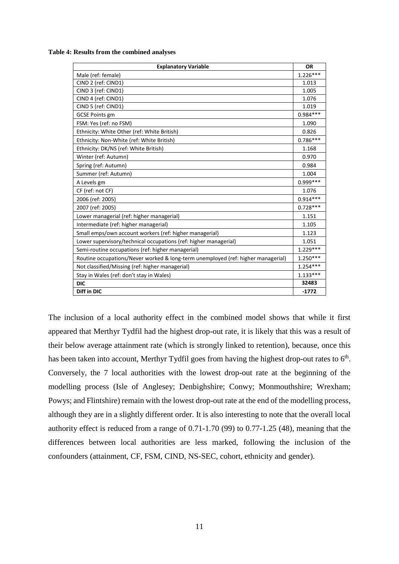<span id="page-10-0"></span>**Table 4: Results from the combined analyses**

| <b>Explanatory Variable</b>                                                      | <b>OR</b>  |
|----------------------------------------------------------------------------------|------------|
| Male (ref: female)                                                               | $1.226***$ |
| CIND 2 (ref: CIND1)                                                              | 1.013      |
| CIND 3 (ref: CIND1)                                                              | 1.005      |
| CIND 4 (ref: CIND1)                                                              | 1.076      |
| CIND 5 (ref: CIND1)                                                              | 1.019      |
| <b>GCSE Points gm</b>                                                            | $0.984***$ |
| FSM: Yes (ref: no FSM)                                                           | 1.090      |
| Ethnicity: White Other (ref: White British)                                      | 0.826      |
| Ethnicity: Non-White (ref: White British)                                        | $0.786***$ |
| Ethnicity: DK/NS (ref: White British)                                            | 1.168      |
| Winter (ref: Autumn)                                                             | 0.970      |
| Spring (ref: Autumn)                                                             | 0.984      |
| Summer (ref: Autumn)                                                             | 1.004      |
| A Levels gm                                                                      | $0.999***$ |
| CF (ref: not CF)                                                                 | 1.076      |
| 2006 (ref: 2005)                                                                 | $0.914***$ |
| 2007 (ref: 2005)                                                                 | $0.728***$ |
| Lower managerial (ref: higher managerial)                                        | 1.151      |
| Intermediate (ref: higher managerial)                                            | 1.105      |
| Small emps/own account workers (ref: higher managerial)                          | 1.123      |
| Lower supervisory/technical occupations (ref: higher managerial)                 | 1.051      |
| Semi-routine occupations (ref: higher managerial)                                | 1.229***   |
| Routine occupations/Never worked & long-term unemployed (ref: higher managerial) | $1.250***$ |
| Not classified/Missing (ref: higher managerial)                                  | $1.254***$ |
| Stay in Wales (ref: don't stay in Wales)                                         | $1.133***$ |
| <b>DIC</b>                                                                       | 32483      |
| Diff in DIC                                                                      | $-1772$    |

The inclusion of a local authority effect in the combined model shows that while it first appeared that Merthyr Tydfil had the highest drop-out rate, it is likely that this was a result of their below average attainment rate (which is strongly linked to retention), because, once this has been taken into account, Merthyr Tydfil goes from having the highest drop-out rates to  $6<sup>th</sup>$ . Conversely, the 7 local authorities with the lowest drop-out rate at the beginning of the modelling process (Isle of Anglesey; Denbighshire; Conwy; Monmouthshire; Wrexham; Powys; and Flintshire) remain with the lowest drop-out rate at the end of the modelling process, although they are in a slightly different order. It is also interesting to note that the overall local authority effect is reduced from a range of 0.71-1.70 (99) to 0.77-1.25 (48), meaning that the differences between local authorities are less marked, following the inclusion of the confounders (attainment, CF, FSM, CIND, NS-SEC, cohort, ethnicity and gender).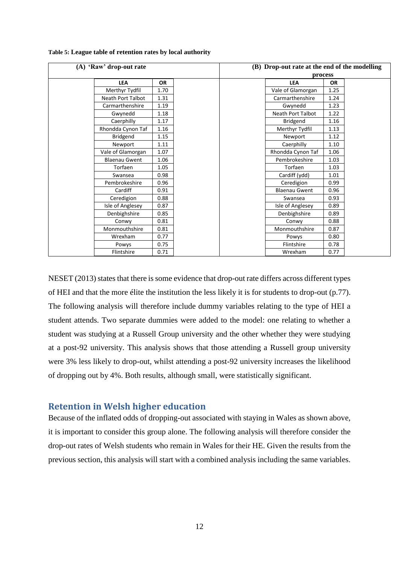| (A) 'Raw' drop-out rate |           | (B) Drop-out rate at the end of the modelling |           |  |  |  |  |
|-------------------------|-----------|-----------------------------------------------|-----------|--|--|--|--|
|                         |           |                                               | process   |  |  |  |  |
| <b>LEA</b>              | <b>OR</b> | <b>LEA</b>                                    | <b>OR</b> |  |  |  |  |
| Merthyr Tydfil          | 1.70      | Vale of Glamorgan                             | 1.25      |  |  |  |  |
| Neath Port Talbot       | 1.31      | Carmarthenshire                               | 1.24      |  |  |  |  |
| Carmarthenshire         | 1.19      | Gwynedd                                       | 1.23      |  |  |  |  |
| Gwynedd                 | 1.18      | <b>Neath Port Talbot</b>                      | 1.22      |  |  |  |  |
| Caerphilly              | 1.17      | <b>Bridgend</b>                               | 1.16      |  |  |  |  |
| Rhondda Cynon Taf       | 1.16      | Merthyr Tydfil                                | 1.13      |  |  |  |  |
| Bridgend                | 1.15      | Newport                                       | 1.12      |  |  |  |  |
| Newport                 | 1.11      | Caerphilly                                    | 1.10      |  |  |  |  |
| Vale of Glamorgan       | 1.07      | Rhondda Cynon Taf                             | 1.06      |  |  |  |  |
| <b>Blaenau Gwent</b>    | 1.06      | Pembrokeshire                                 | 1.03      |  |  |  |  |
| Torfaen                 | 1.05      | Torfaen                                       | 1.03      |  |  |  |  |
| Swansea                 | 0.98      | Cardiff (ydd)                                 | 1.01      |  |  |  |  |
| Pembrokeshire           | 0.96      | Ceredigion                                    | 0.99      |  |  |  |  |
| Cardiff                 | 0.91      | <b>Blaenau Gwent</b>                          | 0.96      |  |  |  |  |
| Ceredigion              | 0.88      | Swansea                                       | 0.93      |  |  |  |  |
| Isle of Anglesey        | 0.87      | Isle of Anglesey                              | 0.89      |  |  |  |  |
| Denbighshire            | 0.85      | Denbighshire                                  | 0.89      |  |  |  |  |
| Conwy                   | 0.81      | Conwy                                         | 0.88      |  |  |  |  |
| Monmouthshire           | 0.81      | Monmouthshire                                 | 0.87      |  |  |  |  |
| Wrexham                 | 0.77      | Powys                                         | 0.80      |  |  |  |  |
| Powys                   | 0.75      | Flintshire                                    | 0.78      |  |  |  |  |
| Flintshire              | 0.71      | Wrexham                                       | 0.77      |  |  |  |  |

**Table 5: League table of retention rates by local authority**

NESET (2013) states that there is some evidence that drop-out rate differs across different types of HEI and that the more élite the institution the less likely it is for students to drop-out (p.77). The following analysis will therefore include dummy variables relating to the type of HEI a student attends. Two separate dummies were added to the model: one relating to whether a student was studying at a Russell Group university and the other whether they were studying at a post-92 university. This analysis shows that those attending a Russell group university were 3% less likely to drop-out, whilst attending a post-92 university increases the likelihood of dropping out by 4%. Both results, although small, were statistically significant.

### **Retention in Welsh higher education**

Because of the inflated odds of dropping-out associated with staying in Wales as shown above, it is important to consider this group alone. The following analysis will therefore consider the drop-out rates of Welsh students who remain in Wales for their HE. Given the results from the previous section, this analysis will start with a combined analysis including the same variables.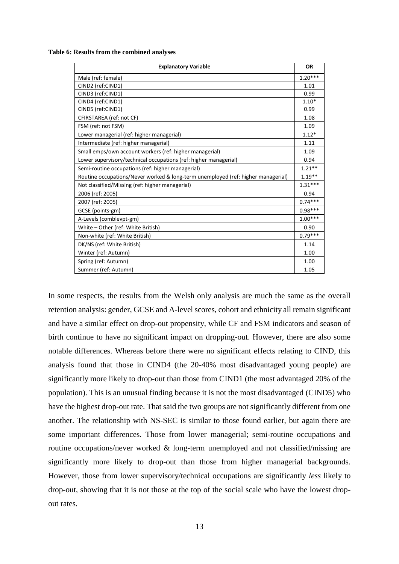**Table 6: Results from the combined analyses**

| <b>Explanatory Variable</b>                                                      | <b>OR</b> |  |  |  |  |
|----------------------------------------------------------------------------------|-----------|--|--|--|--|
| Male (ref: female)                                                               | $1.20***$ |  |  |  |  |
| CIND2 (ref:CIND1)                                                                | 1.01      |  |  |  |  |
| CIND3 (ref:CIND1)                                                                |           |  |  |  |  |
| CIND4 (ref:CIND1)                                                                | $1.10*$   |  |  |  |  |
| CIND5 (ref:CIND1)                                                                | 0.99      |  |  |  |  |
| CFIRSTAREA (ref: not CF)                                                         | 1.08      |  |  |  |  |
| FSM (ref: not FSM)                                                               | 1.09      |  |  |  |  |
| Lower managerial (ref: higher managerial)                                        | $1.12*$   |  |  |  |  |
| Intermediate (ref: higher managerial)                                            | 1.11      |  |  |  |  |
| Small emps/own account workers (ref: higher managerial)                          | 1.09      |  |  |  |  |
| Lower supervisory/technical occupations (ref: higher managerial)                 | 0.94      |  |  |  |  |
| Semi-routine occupations (ref: higher managerial)                                | $1.21***$ |  |  |  |  |
| Routine occupations/Never worked & long-term unemployed (ref: higher managerial) | $1.19***$ |  |  |  |  |
| Not classified/Missing (ref: higher managerial)                                  | $1.31***$ |  |  |  |  |
| 2006 (ref: 2005)                                                                 | 0.94      |  |  |  |  |
| 2007 (ref: 2005)                                                                 | $0.74***$ |  |  |  |  |
| GCSE (points-gm)                                                                 | $0.98***$ |  |  |  |  |
| A-Levels (comblevpt-gm)                                                          | $1.00***$ |  |  |  |  |
| White - Other (ref: White British)                                               | 0.90      |  |  |  |  |
| Non-white (ref: White British)                                                   | $0.79***$ |  |  |  |  |
| DK/NS (ref: White British)                                                       | 1.14      |  |  |  |  |
| Winter (ref: Autumn)                                                             | 1.00      |  |  |  |  |
| Spring (ref: Autumn)                                                             | 1.00      |  |  |  |  |
| Summer (ref: Autumn)                                                             | 1.05      |  |  |  |  |

In some respects, the results from the Welsh only analysis are much the same as the overall retention analysis: gender, GCSE and A-level scores, cohort and ethnicity all remain significant and have a similar effect on drop-out propensity, while CF and FSM indicators and season of birth continue to have no significant impact on dropping-out. However, there are also some notable differences. Whereas before there were no significant effects relating to CIND, this analysis found that those in CIND4 (the 20-40% most disadvantaged young people) are significantly more likely to drop-out than those from CIND1 (the most advantaged 20% of the population). This is an unusual finding because it is not the most disadvantaged (CIND5) who have the highest drop-out rate. That said the two groups are not significantly different from one another. The relationship with NS-SEC is similar to those found earlier, but again there are some important differences. Those from lower managerial; semi-routine occupations and routine occupations/never worked & long-term unemployed and not classified/missing are significantly more likely to drop-out than those from higher managerial backgrounds. However, those from lower supervisory/technical occupations are significantly *less* likely to drop-out, showing that it is not those at the top of the social scale who have the lowest dropout rates.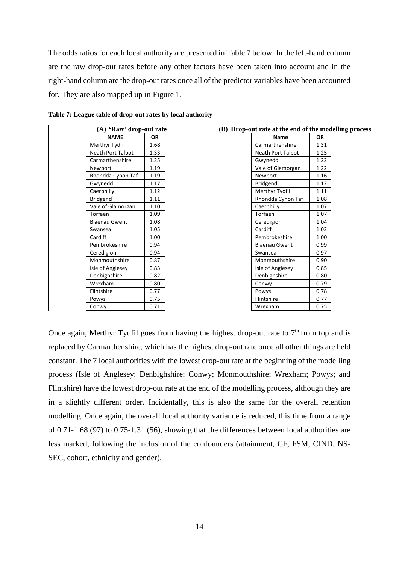The odds ratios for each local authority are presented in [Table 7](#page-13-0) below. In the left-hand column are the raw drop-out rates before any other factors have been taken into account and in the right-hand column are the drop-out rates once all of the predictor variables have been accounted for. They are also mapped up in [Figure 1.](#page-14-0)

| (A) 'Raw' drop-out rate  |           |  | (B) Drop-out rate at the end of the modelling process |           |  |  |
|--------------------------|-----------|--|-------------------------------------------------------|-----------|--|--|
| <b>NAME</b>              | <b>OR</b> |  | <b>Name</b>                                           | <b>OR</b> |  |  |
| Merthyr Tydfil           | 1.68      |  | Carmarthenshire                                       | 1.31      |  |  |
| <b>Neath Port Talbot</b> | 1.33      |  | Neath Port Talbot                                     | 1.25      |  |  |
| Carmarthenshire          | 1.25      |  | Gwynedd                                               | 1.22      |  |  |
| Newport                  | 1.19      |  | Vale of Glamorgan                                     | 1.22      |  |  |
| Rhondda Cynon Taf        | 1.19      |  | Newport                                               | 1.16      |  |  |
| Gwynedd                  | 1.17      |  | Bridgend                                              | 1.12      |  |  |
| Caerphilly               | 1.12      |  | Merthyr Tydfil                                        | 1.11      |  |  |
| Bridgend                 | 1.11      |  | Rhondda Cynon Taf                                     | 1.08      |  |  |
| Vale of Glamorgan        | 1.10      |  | Caerphilly                                            | 1.07      |  |  |
| Torfaen                  | 1.09      |  | Torfaen                                               | 1.07      |  |  |
| <b>Blaenau Gwent</b>     | 1.08      |  | Ceredigion                                            | 1.04      |  |  |
| Swansea                  | 1.05      |  | Cardiff                                               | 1.02      |  |  |
| Cardiff                  | 1.00      |  | Pembrokeshire                                         | 1.00      |  |  |
| Pembrokeshire            | 0.94      |  | <b>Blaenau Gwent</b>                                  | 0.99      |  |  |
| Ceredigion               | 0.94      |  | Swansea                                               | 0.97      |  |  |
| Monmouthshire            | 0.87      |  | Monmouthshire                                         | 0.90      |  |  |
| Isle of Anglesey         | 0.83      |  | Isle of Anglesey                                      | 0.85      |  |  |
| Denbighshire             | 0.82      |  | Denbighshire                                          | 0.80      |  |  |
| Wrexham                  | 0.80      |  | Conwy                                                 | 0.79      |  |  |
| Flintshire               | 0.77      |  | Powys                                                 | 0.78      |  |  |
| Powys                    | 0.75      |  | Flintshire                                            | 0.77      |  |  |
| Conwy                    | 0.71      |  | Wrexham                                               | 0.75      |  |  |

<span id="page-13-0"></span>**Table 7: League table of drop-out rates by local authority**

Once again, Merthyr Tydfil goes from having the highest drop-out rate to  $7<sup>th</sup>$  from top and is replaced by Carmarthenshire, which has the highest drop-out rate once all other things are held constant. The 7 local authorities with the lowest drop-out rate at the beginning of the modelling process (Isle of Anglesey; Denbighshire; Conwy; Monmouthshire; Wrexham; Powys; and Flintshire) have the lowest drop-out rate at the end of the modelling process, although they are in a slightly different order. Incidentally, this is also the same for the overall retention modelling. Once again, the overall local authority variance is reduced, this time from a range of 0.71-1.68 (97) to 0.75-1.31 (56), showing that the differences between local authorities are less marked, following the inclusion of the confounders (attainment, CF, FSM, CIND, NS-SEC, cohort, ethnicity and gender).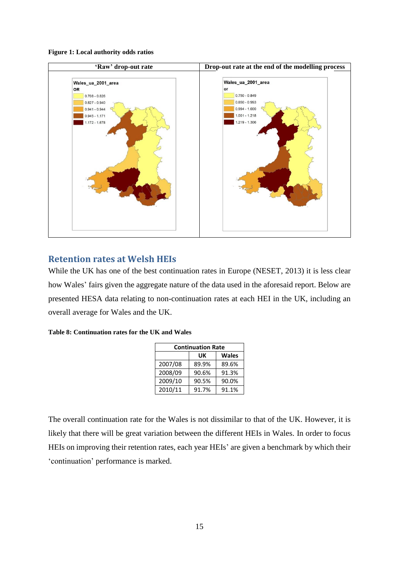<span id="page-14-0"></span>



# **Retention rates at Welsh HEIs**

While the UK has one of the best continuation rates in Europe (NESET, 2013) it is less clear how Wales' fairs given the aggregate nature of the data used in the aforesaid report. Below are presented HESA data relating to non-continuation rates at each HEI in the UK, including an overall average for Wales and the UK.

| Table 8: Continuation rates for the UK and Wales |  |  |
|--------------------------------------------------|--|--|
|                                                  |  |  |

| <b>Continuation Rate</b> |       |              |  |  |  |
|--------------------------|-------|--------------|--|--|--|
|                          | UK    | <b>Wales</b> |  |  |  |
| 2007/08                  | 89.9% | 89.6%        |  |  |  |
| 2008/09                  | 90.6% | 91.3%        |  |  |  |
| 2009/10                  | 90.5% | 90.0%        |  |  |  |
| 2010/11                  | 91.7% | 91.1%        |  |  |  |

The overall continuation rate for the Wales is not dissimilar to that of the UK. However, it is likely that there will be great variation between the different HEIs in Wales. In order to focus HEIs on improving their retention rates, each year HEIs' are given a benchmark by which their 'continuation' performance is marked.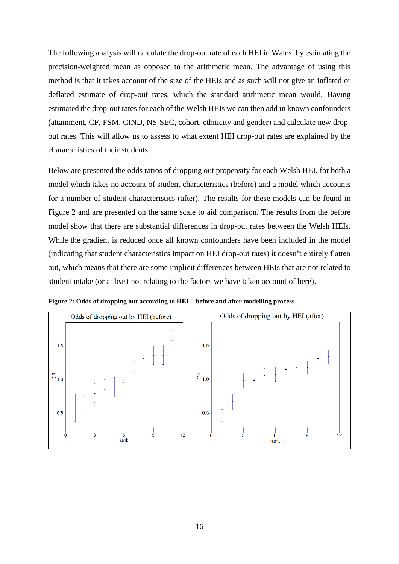The following analysis will calculate the drop-out rate of each HEI in Wales, by estimating the precision-weighted mean as opposed to the arithmetic mean. The advantage of using this method is that it takes account of the size of the HEIs and as such will not give an inflated or deflated estimate of drop-out rates, which the standard arithmetic mean would. Having estimated the drop-out rates for each of the Welsh HEIs we can then add in known confounders (attainment, CF, FSM, CIND, NS-SEC, cohort, ethnicity and gender) and calculate new dropout rates. This will allow us to assess to what extent HEI drop-out rates are explained by the characteristics of their students.

Below are presented the odds ratios of dropping out propensity for each Welsh HEI, for both a model which takes no account of student characteristics (before) and a model which accounts for a number of student characteristics (after). The results for these models can be found in [Figure 2](#page-15-0) and are presented on the same scale to aid comparison. The results from the before model show that there are substantial differences in drop-put rates between the Welsh HEIs. While the gradient is reduced once all known confounders have been included in the model (indicating that student characteristics impact on HEI drop-out rates) it doesn't entirely flatten out, which means that there are some implicit differences between HEIs that are not related to student intake (or at least not relating to the factors we have taken account of here).

<span id="page-15-0"></span>**Figure 2: Odds of dropping out according to HEI – before and after modelling process**

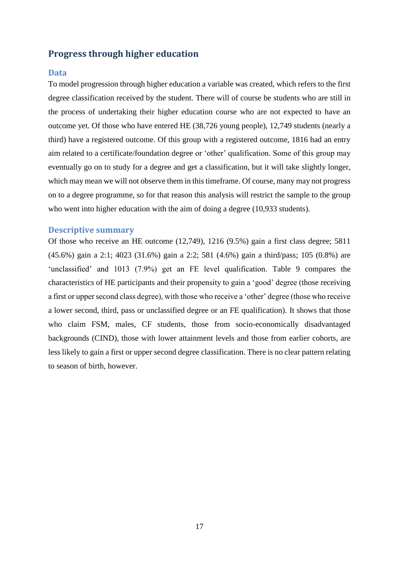# **Progress through higher education**

#### **Data**

To model progression through higher education a variable was created, which refers to the first degree classification received by the student. There will of course be students who are still in the process of undertaking their higher education course who are not expected to have an outcome yet. Of those who have entered HE (38,726 young people), 12,749 students (nearly a third) have a registered outcome. Of this group with a registered outcome, 1816 had an entry aim related to a certificate/foundation degree or 'other' qualification. Some of this group may eventually go on to study for a degree and get a classification, but it will take slightly longer, which may mean we will not observe them in this timeframe. Of course, many may not progress on to a degree programme, so for that reason this analysis will restrict the sample to the group who went into higher education with the aim of doing a degree (10,933 students).

#### **Descriptive summary**

Of those who receive an HE outcome (12,749), 1216 (9.5%) gain a first class degree; 5811 (45.6%) gain a 2:1; 4023 (31.6%) gain a 2:2; 581 (4.6%) gain a third/pass; 105 (0.8%) are 'unclassified' and 1013 (7.9%) get an FE level qualification. [Table 9](#page-17-0) compares the characteristics of HE participants and their propensity to gain a 'good' degree (those receiving a first or upper second class degree), with those who receive a 'other' degree (those who receive a lower second, third, pass or unclassified degree or an FE qualification). It shows that those who claim FSM, males, CF students, those from socio-economically disadvantaged backgrounds (CIND), those with lower attainment levels and those from earlier cohorts, are less likely to gain a first or upper second degree classification. There is no clear pattern relating to season of birth, however.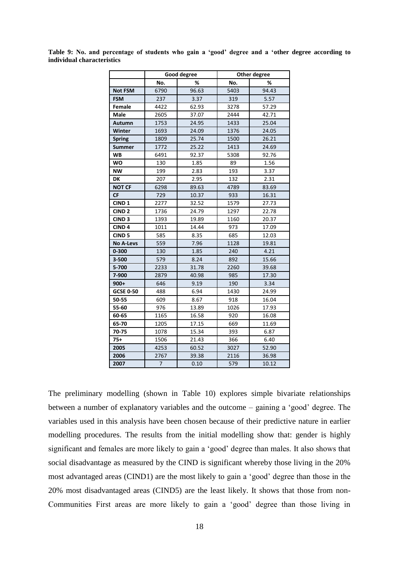|                   |                | <b>Good degree</b> | Other degree |       |  |
|-------------------|----------------|--------------------|--------------|-------|--|
|                   | No.            | ℅                  | No.          | %     |  |
| <b>Not FSM</b>    | 6790           | 96.63              | 5403         | 94.43 |  |
| <b>FSM</b>        | 237            | 3.37               | 319          | 5.57  |  |
| Female            | 4422           | 62.93              | 3278         | 57.29 |  |
| Male              | 2605           | 37.07              | 2444         | 42.71 |  |
| Autumn            | 1753           | 24.95              | 1433         | 25.04 |  |
| Winter            | 1693           | 24.09              | 1376         | 24.05 |  |
| <b>Spring</b>     | 1809           | 25.74              | 1500         | 26.21 |  |
| <b>Summer</b>     | 1772           | 25.22              | 1413         | 24.69 |  |
| <b>WB</b>         | 6491           | 92.37              | 5308         | 92.76 |  |
| <b>WO</b>         | 130            | 1.85               | 89           | 1.56  |  |
| <b>NW</b>         | 199            | 2.83               | 193          | 3.37  |  |
| DK                | 207            | 2.95               | 132          | 2.31  |  |
| <b>NOT CF</b>     | 6298           | 89.63              | 4789         | 83.69 |  |
| <b>CF</b>         | 729            | 10.37              | 933          | 16.31 |  |
| CIND <sub>1</sub> | 2277           | 32.52              | 1579         | 27.73 |  |
| CIND <sub>2</sub> | 1736           | 24.79              | 1297         | 22.78 |  |
| CIND <sub>3</sub> | 1393           | 19.89              | 1160         | 20.37 |  |
| CIND <sub>4</sub> | 1011           | 14.44              | 973          | 17.09 |  |
| CIND <sub>5</sub> | 585            | 8.35               | 685          | 12.03 |  |
| <b>No A-Levs</b>  | 559            | 7.96               | 1128         | 19.81 |  |
| $0 - 300$         | 130            | 1.85               | 240          | 4.21  |  |
| 3-500             | 579            | 8.24               | 892          | 15.66 |  |
| 5-700             | 2233           | 31.78              | 2260         | 39.68 |  |
| 7-900             | 2879           | 40.98              | 985          | 17.30 |  |
| $900+$            | 646            | 9.19               | 190          | 3.34  |  |
| <b>GCSE 0-50</b>  | 488            | 6.94               | 1430         | 24.99 |  |
| 50-55             | 609            | 8.67               | 918          | 16.04 |  |
| 55-60             | 976            | 13.89              | 1026         | 17.93 |  |
| 60-65             | 1165           | 16.58              | 920          | 16.08 |  |
| 65-70             | 1205           | 17.15              | 669          | 11.69 |  |
| 70-75             | 1078           | 15.34              | 393          | 6.87  |  |
| $75+$             | 1506           | 21.43              | 366          | 6.40  |  |
| 2005              | 4253           | 60.52              | 3027         | 52.90 |  |
| 2006              | 2767           | 39.38              | 2116         | 36.98 |  |
| 2007              | $\overline{7}$ | 0.10               | 579          | 10.12 |  |

<span id="page-17-0"></span>**Table 9: No. and percentage of students who gain a 'good' degree and a 'other degree according to individual characteristics**

The preliminary modelling (shown in [Table 10\)](#page-18-0) explores simple bivariate relationships between a number of explanatory variables and the outcome – gaining a 'good' degree. The variables used in this analysis have been chosen because of their predictive nature in earlier modelling procedures. The results from the initial modelling show that: gender is highly significant and females are more likely to gain a 'good' degree than males. It also shows that social disadvantage as measured by the CIND is significant whereby those living in the 20% most advantaged areas (CIND1) are the most likely to gain a 'good' degree than those in the 20% most disadvantaged areas (CIND5) are the least likely. It shows that those from non-Communities First areas are more likely to gain a 'good' degree than those living in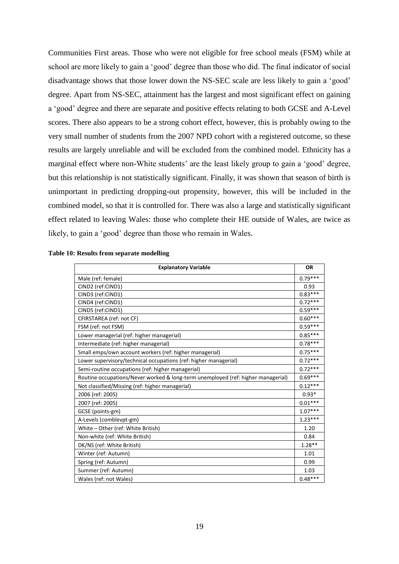Communities First areas. Those who were not eligible for free school meals (FSM) while at school are more likely to gain a 'good' degree than those who did. The final indicator of social disadvantage shows that those lower down the NS-SEC scale are less likely to gain a 'good' degree. Apart from NS-SEC, attainment has the largest and most significant effect on gaining a 'good' degree and there are separate and positive effects relating to both GCSE and A-Level scores. There also appears to be a strong cohort effect, however, this is probably owing to the very small number of students from the 2007 NPD cohort with a registered outcome, so these results are largely unreliable and will be excluded from the combined model. Ethnicity has a marginal effect where non-White students' are the least likely group to gain a 'good' degree, but this relationship is not statistically significant. Finally, it was shown that season of birth is unimportant in predicting dropping-out propensity, however, this will be included in the combined model, so that it is controlled for. There was also a large and statistically significant effect related to leaving Wales: those who complete their HE outside of Wales, are twice as likely, to gain a 'good' degree than those who remain in Wales.

| <b>Explanatory Variable</b>                                                      | <b>OR</b> |
|----------------------------------------------------------------------------------|-----------|
| Male (ref: female)                                                               | $0.79***$ |
| CIND2 (ref:CIND1)                                                                | 0.93      |
| CIND3 (ref:CIND1)                                                                | $0.83***$ |
| CIND4 (ref:CIND1)                                                                | $0.72***$ |
| CIND5 (ref:CIND1)                                                                | $0.59***$ |
| CFIRSTAREA (ref: not CF)                                                         | $0.60***$ |
| FSM (ref: not FSM)                                                               | $0.59***$ |
| Lower managerial (ref: higher managerial)                                        | $0.85***$ |
| Intermediate (ref: higher managerial)                                            | $0.78***$ |
| Small emps/own account workers (ref: higher managerial)                          | $0.75***$ |
| Lower supervisory/technical occupations (ref: higher managerial)                 | $0.72***$ |
| Semi-routine occupations (ref: higher managerial)                                | $0.72***$ |
| Routine occupations/Never worked & long-term unemployed (ref: higher managerial) | $0.69***$ |
| Not classified/Missing (ref: higher managerial)                                  | $0.12***$ |
| 2006 (ref: 2005)                                                                 | $0.93*$   |
| 2007 (ref: 2005)                                                                 | $0.01***$ |
| GCSE (points-gm)                                                                 | $1.07***$ |
| A-Levels (comblevpt-gm)                                                          | $1.23***$ |
| White - Other (ref: White British)                                               | 1.20      |
| Non-white (ref: White British)                                                   | 0.84      |
| DK/NS (ref: White British)                                                       | $1.28**$  |
| Winter (ref: Autumn)                                                             | 1.01      |
| Spring (ref: Autumn)                                                             | 0.99      |
| Summer (ref: Autumn)                                                             | 1.03      |
| Wales (ref: not Wales)                                                           | $0.48***$ |

#### <span id="page-18-0"></span>**Table 10: Results from separate modelling**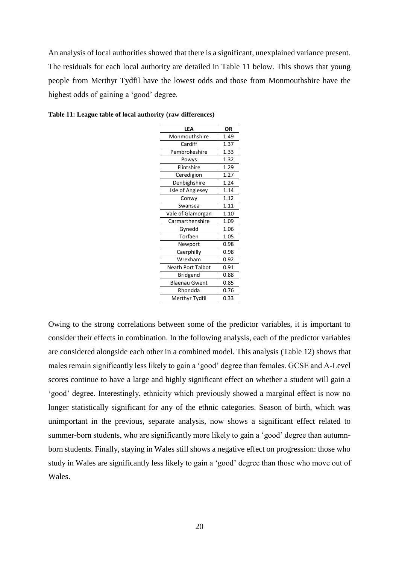An analysis of local authorities showed that there is a significant, unexplained variance present. The residuals for each local authority are detailed in [Table 11](#page-19-0) below. This shows that young people from Merthyr Tydfil have the lowest odds and those from Monmouthshire have the highest odds of gaining a 'good' degree.

| LEA                  | OR   |
|----------------------|------|
| Monmouthshire        | 1.49 |
| Cardiff              | 1.37 |
| Pembrokeshire        | 1.33 |
| Powys                | 1.32 |
| Flintshire           | 1.29 |
| Ceredigion           | 1.27 |
| Denbighshire         | 1.24 |
| Isle of Anglesey     | 1.14 |
| Conwy                | 1.12 |
| Swansea              | 1.11 |
| Vale of Glamorgan    | 1.10 |
| Carmarthenshire      | 1.09 |
| Gynedd               | 1.06 |
| Torfaen              | 1.05 |
| Newport              | 0.98 |
| Caerphilly           | 0.98 |
| Wrexham              | 0.92 |
| Neath Port Talbot    | 0.91 |
| Bridgend             | 0.88 |
| <b>Blaenau Gwent</b> | 0.85 |
| Rhondda              | 0.76 |
| Merthyr Tydfil       | 0.33 |

<span id="page-19-0"></span>**Table 11: League table of local authority (raw differences)**

Owing to the strong correlations between some of the predictor variables, it is important to consider their effects in combination. In the following analysis, each of the predictor variables are considered alongside each other in a combined model. This analysis [\(Table 12\)](#page-20-0) shows that males remain significantly less likely to gain a 'good' degree than females. GCSE and A-Level scores continue to have a large and highly significant effect on whether a student will gain a 'good' degree. Interestingly, ethnicity which previously showed a marginal effect is now no longer statistically significant for any of the ethnic categories. Season of birth, which was unimportant in the previous, separate analysis, now shows a significant effect related to summer-born students, who are significantly more likely to gain a 'good' degree than autumnborn students. Finally, staying in Wales still shows a negative effect on progression: those who study in Wales are significantly less likely to gain a 'good' degree than those who move out of Wales.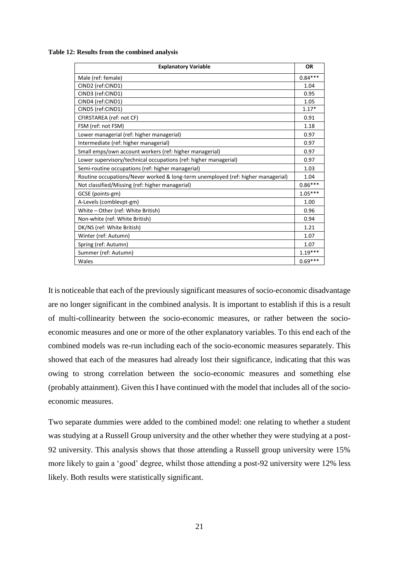<span id="page-20-0"></span>**Table 12: Results from the combined analysis**

| <b>Explanatory Variable</b>                                                      | <b>OR</b> |
|----------------------------------------------------------------------------------|-----------|
| Male (ref: female)                                                               | $0.84***$ |
| CIND2 (ref:CIND1)                                                                | 1.04      |
| CIND3 (ref:CIND1)                                                                | 0.95      |
| CIND4 (ref:CIND1)                                                                | 1.05      |
| CIND5 (ref:CIND1)                                                                | $1.17*$   |
| CFIRSTAREA (ref: not CF)                                                         | 0.91      |
| FSM (ref: not FSM)                                                               | 1.18      |
| Lower managerial (ref: higher managerial)                                        | 0.97      |
| Intermediate (ref: higher managerial)                                            | 0.97      |
| Small emps/own account workers (ref: higher managerial)                          | 0.97      |
| Lower supervisory/technical occupations (ref: higher managerial)                 | 0.97      |
| Semi-routine occupations (ref: higher managerial)                                | 1.03      |
| Routine occupations/Never worked & long-term unemployed (ref: higher managerial) | 1.04      |
| Not classified/Missing (ref: higher managerial)                                  | $0.86***$ |
| GCSE (points-gm)                                                                 | $1.05***$ |
| A-Levels (comblevpt-gm)                                                          | 1.00      |
| White - Other (ref: White British)                                               | 0.96      |
| Non-white (ref: White British)                                                   | 0.94      |
| DK/NS (ref: White British)                                                       | 1.21      |
| Winter (ref: Autumn)                                                             | 1.07      |
| Spring (ref: Autumn)                                                             | 1.07      |
| Summer (ref: Autumn)                                                             | $1.19***$ |
| Wales                                                                            | $0.69***$ |

It is noticeable that each of the previously significant measures of socio-economic disadvantage are no longer significant in the combined analysis. It is important to establish if this is a result of multi-collinearity between the socio-economic measures, or rather between the socioeconomic measures and one or more of the other explanatory variables. To this end each of the combined models was re-run including each of the socio-economic measures separately. This showed that each of the measures had already lost their significance, indicating that this was owing to strong correlation between the socio-economic measures and something else (probably attainment). Given this I have continued with the model that includes all of the socioeconomic measures.

Two separate dummies were added to the combined model: one relating to whether a student was studying at a Russell Group university and the other whether they were studying at a post-92 university. This analysis shows that those attending a Russell group university were 15% more likely to gain a 'good' degree, whilst those attending a post-92 university were 12% less likely. Both results were statistically significant.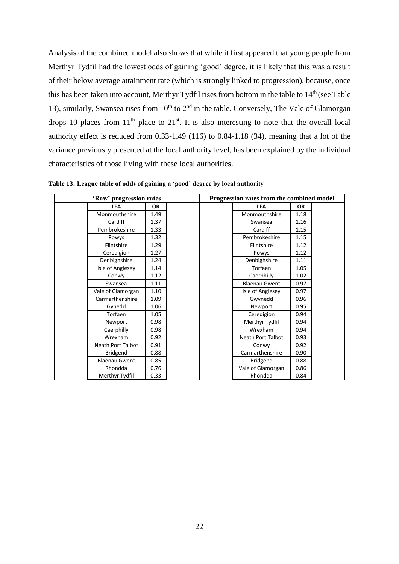Analysis of the combined model also shows that while it first appeared that young people from Merthyr Tydfil had the lowest odds of gaining 'good' degree, it is likely that this was a result of their below average attainment rate (which is strongly linked to progression), because, once this has been taken into account, Merthyr Tydfil rises from bottom in the table to 14<sup>th</sup> (see Table [13\)](#page-21-0), similarly, Swansea rises from  $10<sup>th</sup>$  to  $2<sup>nd</sup>$  in the table. Conversely, The Vale of Glamorgan drops 10 places from  $11<sup>th</sup>$  place to  $21<sup>st</sup>$ . It is also interesting to note that the overall local authority effect is reduced from 0.33-1.49 (116) to 0.84-1.18 (34), meaning that a lot of the variance previously presented at the local authority level, has been explained by the individual characteristics of those living with these local authorities.

| 'Raw' progression rates  |           | Progression rates from the combined model |           |  |
|--------------------------|-----------|-------------------------------------------|-----------|--|
| <b>LEA</b>               | <b>OR</b> | <b>LEA</b>                                | <b>OR</b> |  |
| Monmouthshire            | 1.49      | Monmouthshire                             | 1.18      |  |
| Cardiff                  | 1.37      | Swansea                                   | 1.16      |  |
| Pembrokeshire            | 1.33      | Cardiff                                   | 1.15      |  |
| Powys                    | 1.32      | Pembrokeshire                             | 1.15      |  |
| Flintshire               | 1.29      | Flintshire                                | 1.12      |  |
| Ceredigion               | 1.27      | Powys                                     | 1.12      |  |
| Denbighshire             | 1.24      | Denbighshire                              | 1.11      |  |
| Isle of Anglesey         | 1.14      | Torfaen                                   | 1.05      |  |
| Conwy                    | 1.12      | Caerphilly                                | 1.02      |  |
| Swansea                  | 1.11      | <b>Blaenau Gwent</b>                      | 0.97      |  |
| Vale of Glamorgan        | 1.10      | Isle of Anglesey                          | 0.97      |  |
| Carmarthenshire          | 1.09      | Gwynedd                                   | 0.96      |  |
| Gynedd                   | 1.06      | Newport                                   | 0.95      |  |
| Torfaen                  | 1.05      | Ceredigion                                | 0.94      |  |
| Newport                  | 0.98      | Merthyr Tydfil                            | 0.94      |  |
| Caerphilly               | 0.98      | Wrexham                                   | 0.94      |  |
| Wrexham                  | 0.92      | Neath Port Talbot                         | 0.93      |  |
| <b>Neath Port Talbot</b> | 0.91      | Conwy                                     | 0.92      |  |
| <b>Bridgend</b>          | 0.88      | Carmarthenshire                           | 0.90      |  |
| <b>Blaenau Gwent</b>     | 0.85      | Bridgend                                  | 0.88      |  |
| Rhondda                  | 0.76      | Vale of Glamorgan                         | 0.86      |  |
| Merthyr Tydfil           | 0.33      | Rhondda                                   | 0.84      |  |

<span id="page-21-0"></span>**Table 13: League table of odds of gaining a 'good' degree by local authority**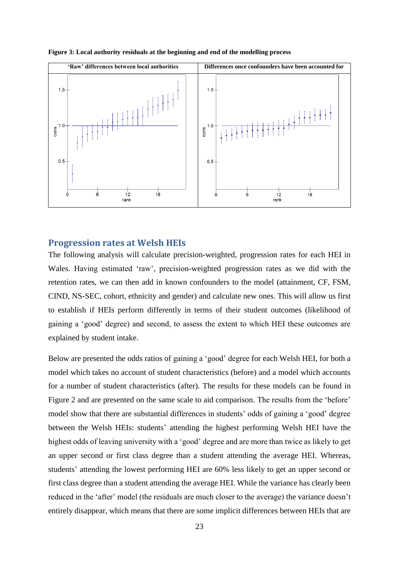

**Figure 3: Local authority residuals at the beginning and end of the modelling process**

#### **Progression rates at Welsh HEIs**

The following analysis will calculate precision-weighted, progression rates for each HEI in Wales. Having estimated 'raw', precision-weighted progression rates as we did with the retention rates, we can then add in known confounders to the model (attainment, CF, FSM, CIND, NS-SEC, cohort, ethnicity and gender) and calculate new ones. This will allow us first to establish if HEIs perform differently in terms of their student outcomes (likelihood of gaining a 'good' degree) and second, to assess the extent to which HEI these outcomes are explained by student intake.

Below are presented the odds ratios of gaining a 'good' degree for each Welsh HEI, for both a model which takes no account of student characteristics (before) and a model which accounts for a number of student characteristics (after). The results for these models can be found in [Figure 2](#page-15-0) and are presented on the same scale to aid comparison. The results from the 'before' model show that there are substantial differences in students' odds of gaining a 'good' degree between the Welsh HEIs: students' attending the highest performing Welsh HEI have the highest odds of leaving university with a 'good' degree and are more than twice as likely to get an upper second or first class degree than a student attending the average HEI. Whereas, students' attending the lowest performing HEI are 60% less likely to get an upper second or first class degree than a student attending the average HEI. While the variance has clearly been reduced in the 'after' model (the residuals are much closer to the average) the variance doesn't entirely disappear, which means that there are some implicit differences between HEIs that are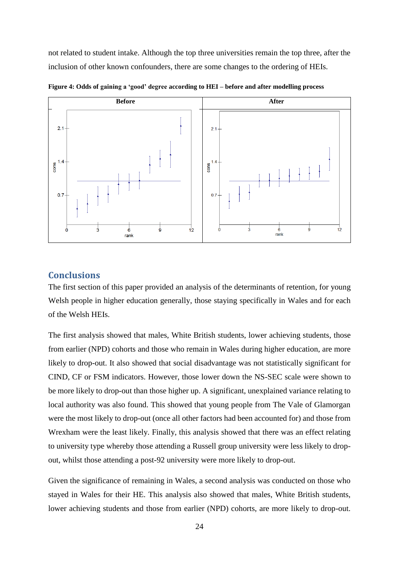not related to student intake. Although the top three universities remain the top three, after the inclusion of other known confounders, there are some changes to the ordering of HEIs.



**Figure 4: Odds of gaining a 'good' degree according to HEI – before and after modelling process**

# **Conclusions**

The first section of this paper provided an analysis of the determinants of retention, for young Welsh people in higher education generally, those staying specifically in Wales and for each of the Welsh HEIs.

The first analysis showed that males, White British students, lower achieving students, those from earlier (NPD) cohorts and those who remain in Wales during higher education, are more likely to drop-out. It also showed that social disadvantage was not statistically significant for CIND, CF or FSM indicators. However, those lower down the NS-SEC scale were shown to be more likely to drop-out than those higher up. A significant, unexplained variance relating to local authority was also found. This showed that young people from The Vale of Glamorgan were the most likely to drop-out (once all other factors had been accounted for) and those from Wrexham were the least likely. Finally, this analysis showed that there was an effect relating to university type whereby those attending a Russell group university were less likely to dropout, whilst those attending a post-92 university were more likely to drop-out.

Given the significance of remaining in Wales, a second analysis was conducted on those who stayed in Wales for their HE. This analysis also showed that males, White British students, lower achieving students and those from earlier (NPD) cohorts, are more likely to drop-out.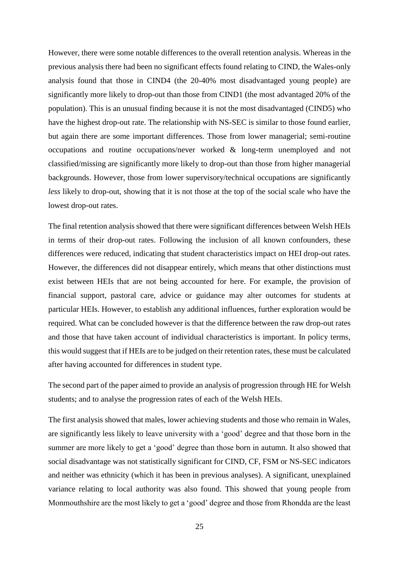However, there were some notable differences to the overall retention analysis. Whereas in the previous analysis there had been no significant effects found relating to CIND, the Wales-only analysis found that those in CIND4 (the 20-40% most disadvantaged young people) are significantly more likely to drop-out than those from CIND1 (the most advantaged 20% of the population). This is an unusual finding because it is not the most disadvantaged (CIND5) who have the highest drop-out rate. The relationship with NS-SEC is similar to those found earlier, but again there are some important differences. Those from lower managerial; semi-routine occupations and routine occupations/never worked & long-term unemployed and not classified/missing are significantly more likely to drop-out than those from higher managerial backgrounds. However, those from lower supervisory/technical occupations are significantly *less* likely to drop-out, showing that it is not those at the top of the social scale who have the lowest drop-out rates.

The final retention analysis showed that there were significant differences between Welsh HEIs in terms of their drop-out rates. Following the inclusion of all known confounders, these differences were reduced, indicating that student characteristics impact on HEI drop-out rates. However, the differences did not disappear entirely, which means that other distinctions must exist between HEIs that are not being accounted for here. For example, the provision of financial support, pastoral care, advice or guidance may alter outcomes for students at particular HEIs. However, to establish any additional influences, further exploration would be required. What can be concluded however is that the difference between the raw drop-out rates and those that have taken account of individual characteristics is important. In policy terms, this would suggest that if HEIs are to be judged on their retention rates, these must be calculated after having accounted for differences in student type.

The second part of the paper aimed to provide an analysis of progression through HE for Welsh students; and to analyse the progression rates of each of the Welsh HEIs.

The first analysis showed that males, lower achieving students and those who remain in Wales, are significantly less likely to leave university with a 'good' degree and that those born in the summer are more likely to get a 'good' degree than those born in autumn. It also showed that social disadvantage was not statistically significant for CIND, CF, FSM or NS-SEC indicators and neither was ethnicity (which it has been in previous analyses). A significant, unexplained variance relating to local authority was also found. This showed that young people from Monmouthshire are the most likely to get a 'good' degree and those from Rhondda are the least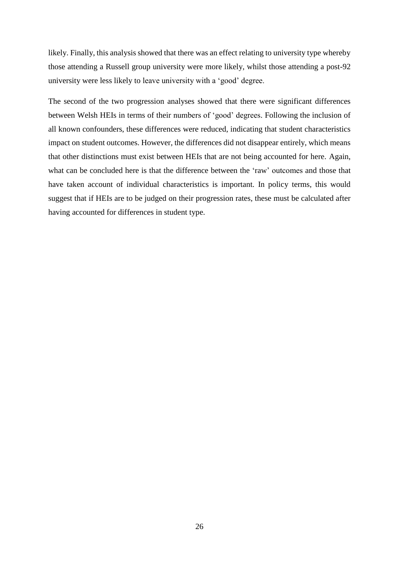likely. Finally, this analysis showed that there was an effect relating to university type whereby those attending a Russell group university were more likely, whilst those attending a post-92 university were less likely to leave university with a 'good' degree.

The second of the two progression analyses showed that there were significant differences between Welsh HEIs in terms of their numbers of 'good' degrees. Following the inclusion of all known confounders, these differences were reduced, indicating that student characteristics impact on student outcomes. However, the differences did not disappear entirely, which means that other distinctions must exist between HEIs that are not being accounted for here. Again, what can be concluded here is that the difference between the 'raw' outcomes and those that have taken account of individual characteristics is important. In policy terms, this would suggest that if HEIs are to be judged on their progression rates, these must be calculated after having accounted for differences in student type.